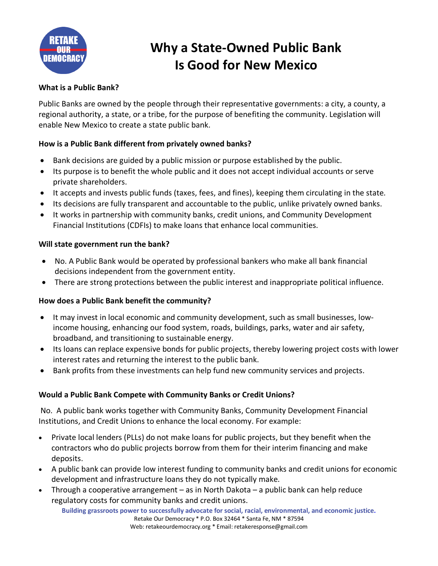

# **Why a State-Owned Public Bank Is Good for New Mexico**

## **What is a Public Bank?**

Public Banks are owned by the people through their representative governments: a city, a county, a regional authority, a state, or a tribe, for the purpose of benefiting the community. Legislation will enable New Mexico to create a state public bank.

### **How is a Public Bank different from privately owned banks?**

- Bank decisions are guided by a public mission or purpose established by the public.
- Its purpose is to benefit the whole public and it does not accept individual accounts or serve private shareholders.
- It accepts and invests public funds (taxes, fees, and fines), keeping them circulating in the state.
- Its decisions are fully transparent and accountable to the public, unlike privately owned banks.
- It works in partnership with community banks, credit unions, and Community Development Financial Institutions (CDFIs) to make loans that enhance local communities.

#### **Will state government run the bank?**

- No. A Public Bank would be operated by professional bankers who make all bank financial decisions independent from the government entity.
- There are strong protections between the public interest and inappropriate political influence.

#### **How does a Public Bank benefit the community?**

- It may invest in local economic and community development, such as small businesses, lowincome housing, enhancing our food system, roads, buildings, parks, water and air safety, broadband, and transitioning to sustainable energy.
- Its loans can replace expensive bonds for public projects, thereby lowering project costs with lower interest rates and returning the interest to the public bank.
- Bank profits from these investments can help fund new community services and projects.

#### **Would a Public Bank Compete with Community Banks or Credit Unions?**

No. A public bank works together with Community Banks, Community Development Financial Institutions, and Credit Unions to enhance the local economy. For example:

- Private local lenders (PLLs) do not make loans for public projects, but they benefit when the contractors who do public projects borrow from them for their interim financing and make deposits.
- A public bank can provide low interest funding to community banks and credit unions for economic development and infrastructure loans they do not typically make.
- Through a cooperative arrangement as in North Dakota a public bank can help reduce regulatory costs for community banks and credit unions.